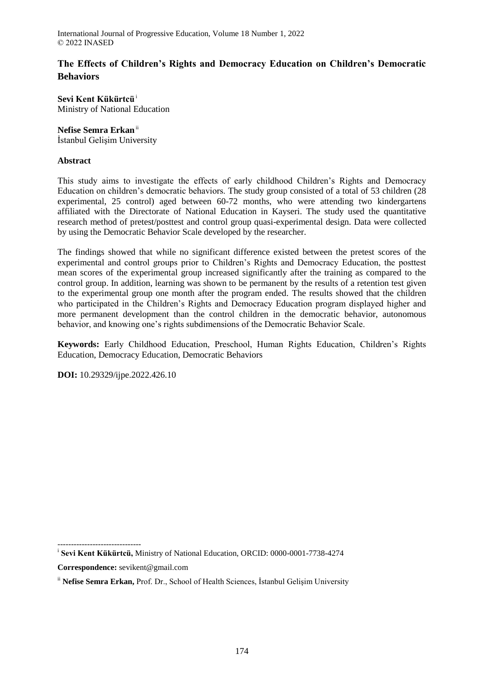# **The Effects of Children's Rights and Democracy Education on Children's Democratic Behaviors**

**Sevi Kent Kükürtcü**<sup>i</sup> Ministry of National Education

## **Nefise Semra Erkan**ii

İstanbul Gelişim University

# **Abstract**

This study aims to investigate the effects of early childhood Children's Rights and Democracy Education on children's democratic behaviors. The study group consisted of a total of 53 children (28 experimental, 25 control) aged between 60-72 months, who were attending two kindergartens affiliated with the Directorate of National Education in Kayseri. The study used the quantitative research method of pretest/posttest and control group quasi-experimental design. Data were collected by using the Democratic Behavior Scale developed by the researcher.

The findings showed that while no significant difference existed between the pretest scores of the experimental and control groups prior to Children's Rights and Democracy Education, the posttest mean scores of the experimental group increased significantly after the training as compared to the control group. In addition, learning was shown to be permanent by the results of a retention test given to the experimental group one month after the program ended. The results showed that the children who participated in the Children's Rights and Democracy Education program displayed higher and more permanent development than the control children in the democratic behavior, autonomous behavior, and knowing one's rights subdimensions of the Democratic Behavior Scale.

**Keywords:** Early Childhood Education, Preschool, Human Rights Education, Children's Rights Education, Democracy Education, Democratic Behaviors

**DOI:** 10.29329/ijpe.2022.426.10

<sup>------------------------------</sup> i **Sevi Kent Kükürtcü,** Ministry of National Education, ORCID: 0000-0001-7738-4274

**Correspondence:** sevikent@gmail.com

ii **Nefise Semra Erkan,** Prof. Dr., School of Health Sciences, İstanbul Gelişim University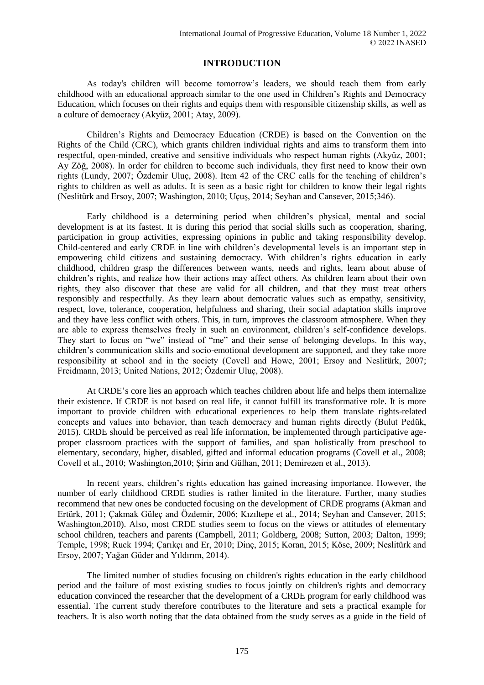# **INTRODUCTION**

As today's children will become tomorrow's leaders, we should teach them from early childhood with an educational approach similar to the one used in Children's Rights and Democracy Education, which focuses on their rights and equips them with responsible citizenship skills, as well as a culture of democracy (Akyüz, 2001; Atay, 2009).

Children's Rights and Democracy Education (CRDE) is based on the Convention on the Rights of the Child (CRC), which grants children individual rights and aims to transform them into respectful, open-minded, creative and sensitive individuals who respect human rights (Akyüz, 2001; Ay Zöğ, 2008). In order for children to become such individuals, they first need to know their own rights (Lundy, 2007; Özdemir Uluç, 2008). Item 42 of the CRC calls for the teaching of children's rights to children as well as adults. It is seen as a basic right for children to know their legal rights (Neslitürk and Ersoy, 2007; Washington, 2010; Uçuş, 2014; Seyhan and Cansever, 2015;346).

Early childhood is a determining period when children's physical, mental and social development is at its fastest. It is during this period that social skills such as cooperation, sharing, participation in group activities, expressing opinions in public and taking responsibility develop. Child-centered and early CRDE in line with children's developmental levels is an important step in empowering child citizens and sustaining democracy. With children's rights education in early childhood, children grasp the differences between wants, needs and rights, learn about abuse of children's rights, and realize how their actions may affect others. As children learn about their own rights, they also discover that these are valid for all children, and that they must treat others responsibly and respectfully. As they learn about democratic values such as empathy, sensitivity, respect, love, tolerance, cooperation, helpfulness and sharing, their social adaptation skills improve and they have less conflict with others. This, in turn, improves the classroom atmosphere. When they are able to express themselves freely in such an environment, children's self-confidence develops. They start to focus on "we" instead of "me" and their sense of belonging develops. In this way, children's communication skills and socio-emotional development are supported, and they take more responsibility at school and in the society (Covell and Howe, 2001; Ersoy and Neslitürk, 2007; Freidmann, 2013; United Nations, 2012; Özdemir Uluç, 2008).

At CRDE's core lies an approach which teaches children about life and helps them internalize their existence. If CRDE is not based on real life, it cannot fulfill its transformative role. It is more important to provide children with educational experiences to help them translate rights-related concepts and values into behavior, than teach democracy and human rights directly (Bulut Pedük, 2015). CRDE should be perceived as real life information, be implemented through participative ageproper classroom practices with the support of families, and span holistically from preschool to elementary, secondary, higher, disabled, gifted and informal education programs (Covell et al., 2008; Covell et al., 2010; Washington,2010; Şirin and Gülhan, 2011; Demirezen et al., 2013).

In recent years, children's rights education has gained increasing importance. However, the number of early childhood CRDE studies is rather limited in the literature. Further, many studies recommend that new ones be conducted focusing on the development of CRDE programs (Akman and Ertürk, 2011; Çakmak Güleç and Özdemir, 2006; Kızıltepe et al., 2014; Seyhan and Cansever, 2015; Washington,2010). Also, most CRDE studies seem to focus on the views or attitudes of elementary school children, teachers and parents (Campbell, 2011; Goldberg, 2008; Sutton, 2003; Dalton, 1999; Temple, 1998; Ruck 1994; Çarıkçı and Er, 2010; Dinç, 2015; Koran, 2015; Köse, 2009; Neslitürk and Ersoy, 2007; Yağan Güder and Yıldırım, 2014).

The limited number of studies focusing on children's rights education in the early childhood period and the failure of most existing studies to focus jointly on children's rights and democracy education convinced the researcher that the development of a CRDE program for early childhood was essential. The current study therefore contributes to the literature and sets a practical example for teachers. It is also worth noting that the data obtained from the study serves as a guide in the field of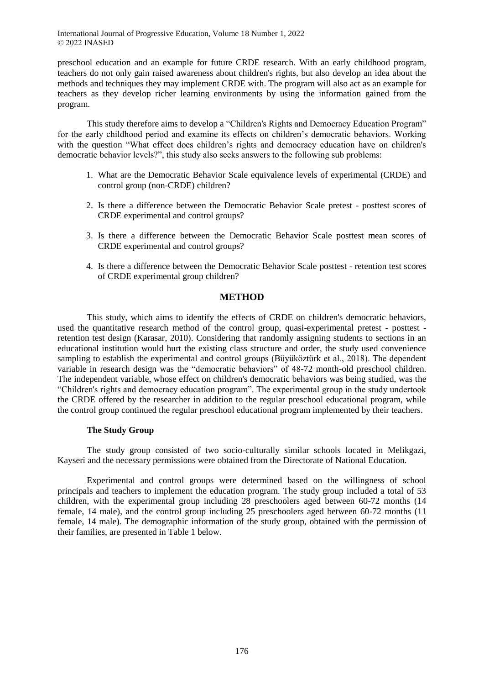preschool education and an example for future CRDE research. With an early childhood program, teachers do not only gain raised awareness about children's rights, but also develop an idea about the methods and techniques they may implement CRDE with. The program will also act as an example for teachers as they develop richer learning environments by using the information gained from the program.

This study therefore aims to develop a "Children's Rights and Democracy Education Program" for the early childhood period and examine its effects on children's democratic behaviors. Working with the question "What effect does children's rights and democracy education have on children's democratic behavior levels?", this study also seeks answers to the following sub problems:

- 1. What are the Democratic Behavior Scale equivalence levels of experimental (CRDE) and control group (non-CRDE) children?
- 2. Is there a difference between the Democratic Behavior Scale pretest posttest scores of CRDE experimental and control groups?
- 3. Is there a difference between the Democratic Behavior Scale posttest mean scores of CRDE experimental and control groups?
- 4. Is there a difference between the Democratic Behavior Scale posttest retention test scores of CRDE experimental group children?

#### **METHOD**

This study, which aims to identify the effects of CRDE on children's democratic behaviors, used the quantitative research method of the control group, quasi-experimental pretest - posttest retention test design (Karasar, 2010). Considering that randomly assigning students to sections in an educational institution would hurt the existing class structure and order, the study used convenience sampling to establish the experimental and control groups (Büyüköztürk et al., 2018). The dependent variable in research design was the "democratic behaviors" of 48-72 month-old preschool children. The independent variable, whose effect on children's democratic behaviors was being studied, was the "Children's rights and democracy education program". The experimental group in the study undertook the CRDE offered by the researcher in addition to the regular preschool educational program, while the control group continued the regular preschool educational program implemented by their teachers.

#### **The Study Group**

The study group consisted of two socio-culturally similar schools located in Melikgazi, Kayseri and the necessary permissions were obtained from the Directorate of National Education.

Experimental and control groups were determined based on the willingness of school principals and teachers to implement the education program. The study group included a total of 53 children, with the experimental group including 28 preschoolers aged between 60-72 months (14 female, 14 male), and the control group including 25 preschoolers aged between 60-72 months (11 female, 14 male). The demographic information of the study group, obtained with the permission of their families, are presented in Table 1 below.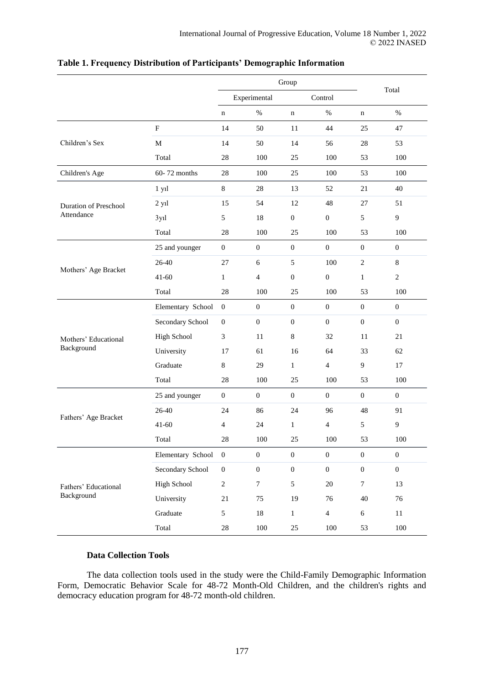|                              |                        |                  | Group            |                  |                  |                  |                  |
|------------------------------|------------------------|------------------|------------------|------------------|------------------|------------------|------------------|
|                              |                        |                  | Experimental     |                  | Control          |                  | Total            |
|                              |                        | $\mathbf n$      | $\%$             | $\mathbf n$      | $\%$             | n                | $\%$             |
|                              | $\mathbf F$            | 14               | 50               | 11               | 44               | 25               | 47               |
| Children's Sex               | $\mathbf M$            | 14               | 50               | 14               | 56               | $28\,$           | 53               |
|                              | Total                  | 28               | 100              | 25               | 100              | 53               | 100              |
| Children's Age               | 60-72 months           | 28               | 100              | 25               | 100              | 53               | 100              |
|                              | 1 yil                  | 8                | $28\,$           | 13               | 52               | $21\,$           | 40               |
| <b>Duration of Preschool</b> | $2$ y <sub>1</sub> $l$ | 15               | 54               | 12               | 48               | $27\,$           | 51               |
| Attendance                   | 3y1                    | 5                | $18\,$           | $\boldsymbol{0}$ | $\boldsymbol{0}$ | 5                | 9                |
|                              | Total                  | $28\,$           | 100              | $25\,$           | 100              | 53               | 100              |
|                              | 25 and younger         | $\boldsymbol{0}$ | $\boldsymbol{0}$ | $\boldsymbol{0}$ | $\boldsymbol{0}$ | $\boldsymbol{0}$ | $\boldsymbol{0}$ |
| Mothers' Age Bracket         | 26-40                  | $27\,$           | $6\,$            | $\sqrt{5}$       | 100              | $\sqrt{2}$       | $\,8\,$          |
|                              | $41 - 60$              | $\mathbf{1}$     | $\overline{4}$   | $\boldsymbol{0}$ | $\boldsymbol{0}$ | $\mathbf{1}$     | $\sqrt{2}$       |
|                              | Total                  | $28\,$           | 100              | $25\,$           | 100              | 53               | 100              |
|                              | Elementary School      | $\overline{0}$   | $\boldsymbol{0}$ | $\mathbf{0}$     | $\boldsymbol{0}$ | $\mathbf{0}$     | $\boldsymbol{0}$ |
|                              | Secondary School       | $\boldsymbol{0}$ | $\boldsymbol{0}$ | $\boldsymbol{0}$ | $\boldsymbol{0}$ | $\boldsymbol{0}$ | $\boldsymbol{0}$ |
| Mothers' Educational         | <b>High School</b>     | 3                | 11               | $8\,$            | 32               | 11               | 21               |
| Background                   | University             | 17               | 61               | 16               | 64               | 33               | 62               |
|                              | Graduate               | $8\,$            | 29               | $\mathbf{1}$     | $\overline{4}$   | 9                | 17               |
|                              | Total                  | $28\,$           | 100              | $25\,$           | 100              | 53               | 100              |
|                              | 25 and younger         | $\mathbf{0}$     | $\boldsymbol{0}$ | $\boldsymbol{0}$ | $\boldsymbol{0}$ | $\mathbf{0}$     | $\boldsymbol{0}$ |
| Fathers' Age Bracket         | 26-40                  | 24               | 86               | 24               | 96               | 48               | 91               |
|                              | $41 - 60$              | 4                | 24               | $\mathbf{1}$     | $\overline{4}$   | 5                | $\overline{9}$   |
|                              | Total                  | $28\,$           | $100\,$          | $25\,$           | $100\,$          | 53               | $100\,$          |
|                              | Elementary School      | $\mathbf{0}$     | $\boldsymbol{0}$ | $\boldsymbol{0}$ | $\boldsymbol{0}$ | $\overline{0}$   | $\overline{0}$   |
|                              | Secondary School       | $\boldsymbol{0}$ | $\boldsymbol{0}$ | $\boldsymbol{0}$ | $\boldsymbol{0}$ | $\boldsymbol{0}$ | $\boldsymbol{0}$ |
| Fathers' Educational         | High School            | $\overline{2}$   | $\boldsymbol{7}$ | 5                | $20\,$           | $\tau$           | 13               |
| Background                   | University             | $21\,$           | 75               | 19               | 76               | 40               | 76               |
|                              | Graduate               | 5                | $18\,$           | $\,1$            | $\overline{4}$   | $\sqrt{6}$       | $11\,$           |
|                              | Total                  | $28\,$           | 100              | 25               | $100\,$          | 53               | $100\,$          |

## **Table 1. Frequency Distribution of Participants' Demographic Information**

### **Data Collection Tools**

The data collection tools used in the study were the Child-Family Demographic Information Form, Democratic Behavior Scale for 48-72 Month-Old Children, and the children's rights and democracy education program for 48-72 month-old children.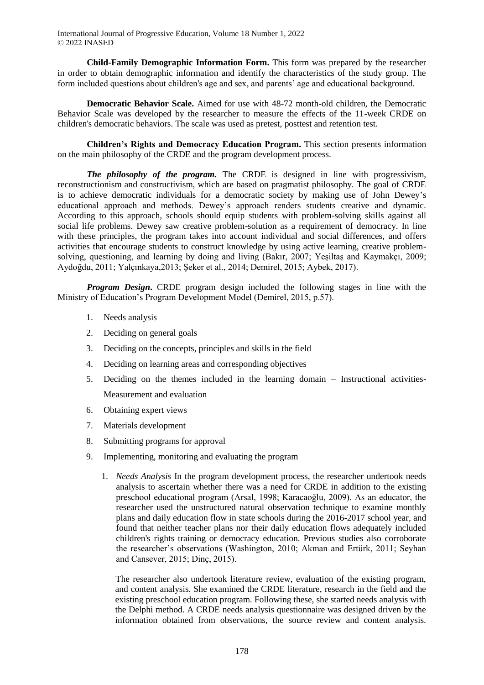**Child-Family Demographic Information Form.** This form was prepared by the researcher in order to obtain demographic information and identify the characteristics of the study group. The form included questions about children's age and sex, and parents' age and educational background.

**Democratic Behavior Scale.** Aimed for use with 48-72 month-old children, the Democratic Behavior Scale was developed by the researcher to measure the effects of the 11-week CRDE on children's democratic behaviors. The scale was used as pretest, posttest and retention test.

**Children's Rights and Democracy Education Program.** This section presents information on the main philosophy of the CRDE and the program development process.

*The philosophy of the program.* The CRDE is designed in line with progressivism, reconstructionism and constructivism, which are based on pragmatist philosophy. The goal of CRDE is to achieve democratic individuals for a democratic society by making use of John Dewey's educational approach and methods. Dewey's approach renders students creative and dynamic. According to this approach, schools should equip students with problem-solving skills against all social life problems. Dewey saw creative problem-solution as a requirement of democracy. In line with these principles, the program takes into account individual and social differences, and offers activities that encourage students to construct knowledge by using active learning, creative problemsolving, questioning, and learning by doing and living (Bakır, 2007; Yeşiltaş and Kaymakçı, 2009; Aydoğdu, 2011; Yalçınkaya,2013; Şeker et al., 2014; Demirel, 2015; Aybek, 2017).

*Program Design***.** CRDE program design included the following stages in line with the Ministry of Education's Program Development Model (Demirel, 2015, p.57).

- 1. Needs analysis
- 2. Deciding on general goals
- 3. Deciding on the concepts, principles and skills in the field
- 4. Deciding on learning areas and corresponding objectives
- 5. Deciding on the themes included in the learning domain Instructional activities-Measurement and evaluation
- 6. Obtaining expert views
- 7. Materials development
- 8. Submitting programs for approval
- 9. Implementing, monitoring and evaluating the program
	- 1. *Needs Analysis* In the program development process, the researcher undertook needs analysis to ascertain whether there was a need for CRDE in addition to the existing preschool educational program (Arsal, 1998; Karacaoğlu, 2009). As an educator, the researcher used the unstructured natural observation technique to examine monthly plans and daily education flow in state schools during the 2016-2017 school year, and found that neither teacher plans nor their daily education flows adequately included children's rights training or democracy education. Previous studies also corroborate the researcher's observations (Washington, 2010; Akman and Ertürk, 2011; Seyhan and Cansever, 2015; Dinç, 2015).

The researcher also undertook literature review, evaluation of the existing program, and content analysis. She examined the CRDE literature, research in the field and the existing preschool education program. Following these, she started needs analysis with the Delphi method. A CRDE needs analysis questionnaire was designed driven by the information obtained from observations, the source review and content analysis.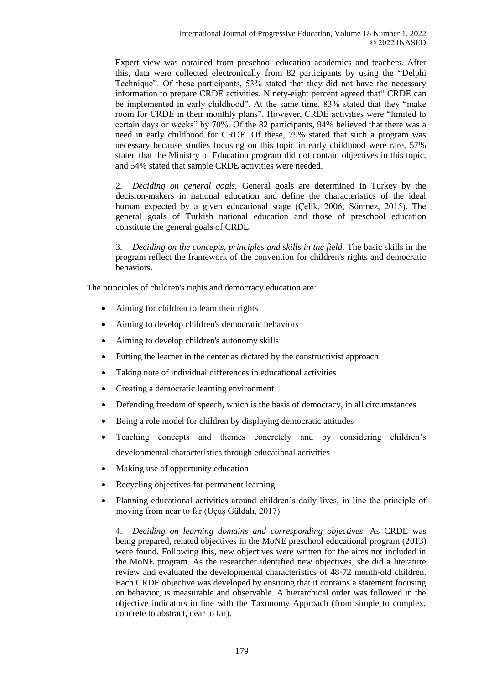Expert view was obtained from preschool education academics and teachers. After this, data were collected electronically from 82 participants by using the "Delphi Technique". Of these participants, 53% stated that they did not have the necessary information to prepare CRDE activities. Ninety-eight percent agreed that" CRDE can be implemented in early childhood". At the same time, 83% stated that they "make room for CRDE in their monthly plans". However, CRDE activities were "limited to certain days or weeks" by 70%. Of the 82 participants, 94% believed that there was a need in early childhood for CRDE. Of these, 79% stated that such a program was necessary because studies focusing on this topic in early childhood were rare, 57% stated that the Ministry of Education program did not contain objectives in this topic, and 54% stated that sample CRDE activities were needed.

2. *Deciding on general goals.* General goals are determined in Turkey by the decision-makers in national education and define the characteristics of the ideal human expected by a given educational stage (Çelik, 2006; Sönmez, 2015). The general goals of Turkish national education and those of preschool education constitute the general goals of CRDE.

3. *Deciding on the concepts, principles and skills in the field.* The basic skills in the program reflect the framework of the convention for children's rights and democratic behaviors.

The principles of children's rights and democracy education are:

- Aiming for children to learn their rights
- Aiming to develop children's democratic behaviors
- Aiming to develop children's autonomy skills
- Putting the learner in the center as dictated by the constructivist approach
- Taking note of individual differences in educational activities
- Creating a democratic learning environment
- Defending freedom of speech, which is the basis of democracy, in all circumstances
- Being a role model for children by displaying democratic attitudes
- Teaching concepts and themes concretely and by considering children's developmental characteristics through educational activities
- Making use of opportunity education
- Recycling objectives for permanent learning
- Planning educational activities around children's daily lives, in line the principle of moving from near to far (Uçuş Güldalı, 2017).

4. *Deciding on learning domains and corresponding objectives*. As CRDE was being prepared, related objectives in the MoNE preschool educational program (2013) were found. Following this, new objectives were written for the aims not included in the MoNE program. As the researcher identified new objectives, she did a literature review and evaluated the developmental characteristics of 48-72 month-old children. Each CRDE objective was developed by ensuring that it contains a statement focusing on behavior, is measurable and observable. A hierarchical order was followed in the objective indicators in line with the Taxonomy Approach (from simple to complex, concrete to abstract, near to far).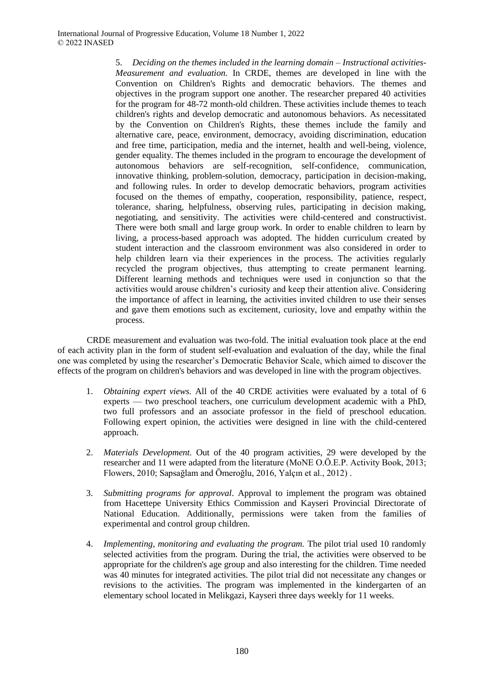5. *Deciding on the themes included in the learning domain – Instructional activities-Measurement and evaluation.* In CRDE, themes are developed in line with the Convention on Children's Rights and democratic behaviors. The themes and objectives in the program support one another. The researcher prepared 40 activities for the program for 48-72 month-old children. These activities include themes to teach children's rights and develop democratic and autonomous behaviors. As necessitated by the Convention on Children's Rights, these themes include the family and alternative care, peace, environment, democracy, avoiding discrimination, education and free time, participation, media and the internet, health and well-being, violence, gender equality. The themes included in the program to encourage the development of autonomous behaviors are self-recognition, self-confidence, communication, innovative thinking, problem-solution, democracy, participation in decision-making, and following rules. In order to develop democratic behaviors, program activities focused on the themes of empathy, cooperation, responsibility, patience, respect, tolerance, sharing, helpfulness, observing rules, participating in decision making, negotiating, and sensitivity. The activities were child-centered and constructivist. There were both small and large group work. In order to enable children to learn by living, a process-based approach was adopted. The hidden curriculum created by student interaction and the classroom environment was also considered in order to help children learn via their experiences in the process. The activities regularly recycled the program objectives, thus attempting to create permanent learning. Different learning methods and techniques were used in conjunction so that the activities would arouse children's curiosity and keep their attention alive. Considering the importance of affect in learning, the activities invited children to use their senses and gave them emotions such as excitement, curiosity, love and empathy within the process.

CRDE measurement and evaluation was two-fold. The initial evaluation took place at the end of each activity plan in the form of student self-evaluation and evaluation of the day, while the final one was completed by using the researcher's Democratic Behavior Scale, which aimed to discover the effects of the program on children's behaviors and was developed in line with the program objectives.

- 1. *Obtaining expert views.* All of the 40 CRDE activities were evaluated by a total of 6 experts — two preschool teachers, one curriculum development academic with a PhD, two full professors and an associate professor in the field of preschool education. Following expert opinion, the activities were designed in line with the child-centered approach.
- 2. *Materials Development.* Out of the 40 program activities, 29 were developed by the researcher and 11 were adapted from the literature (MoNE O.Ö.E.P. Activity Book, 2013; Flowers, 2010; Sapsağlam and Ömeroğlu, 2016, Yalçın et al., 2012) .
- 3. *Submitting programs for approval*. Approval to implement the program was obtained from Hacettepe University Ethics Commission and Kayseri Provincial Directorate of National Education. Additionally, permissions were taken from the families of experimental and control group children.
- 4. *Implementing, monitoring and evaluating the program.* The pilot trial used 10 randomly selected activities from the program. During the trial, the activities were observed to be appropriate for the children's age group and also interesting for the children. Time needed was 40 minutes for integrated activities. The pilot trial did not necessitate any changes or revisions to the activities. The program was implemented in the kindergarten of an elementary school located in Melikgazi, Kayseri three days weekly for 11 weeks.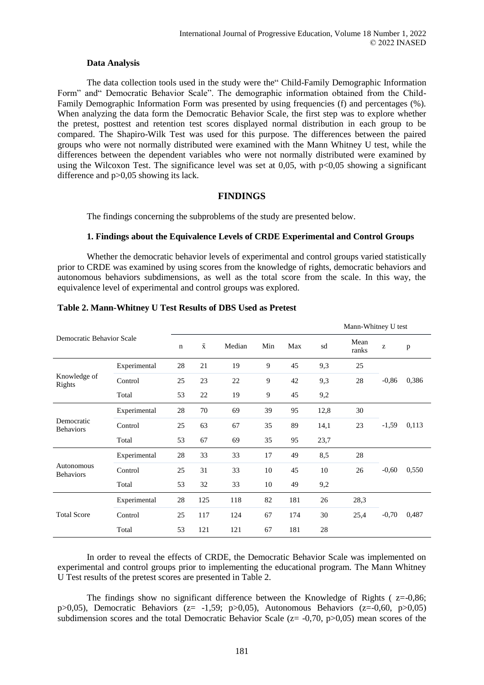#### **Data Analysis**

The data collection tools used in the study were the" Child-Family Demographic Information Form" and" Democratic Behavior Scale". The demographic information obtained from the Child-Family Demographic Information Form was presented by using frequencies (f) and percentages (%). When analyzing the data form the Democratic Behavior Scale, the first step was to explore whether the pretest, posttest and retention test scores displayed normal distribution in each group to be compared. The Shapiro-Wilk Test was used for this purpose. The differences between the paired groups who were not normally distributed were examined with the Mann Whitney U test, while the differences between the dependent variables who were not normally distributed were examined by using the Wilcoxon Test. The significance level was set at 0,05, with  $p<0.05$  showing a significant difference and p>0,05 showing its lack.

### **FINDINGS**

The findings concerning the subproblems of the study are presented below.

#### **1. Findings about the Equivalence Levels of CRDE Experimental and Control Groups**

Whether the democratic behavior levels of experimental and control groups varied statistically prior to CRDE was examined by using scores from the knowledge of rights, democratic behaviors and autonomous behaviors subdimensions, as well as the total score from the scale. In this way, the equivalence level of experimental and control groups was explored.

|                                |              |             |           |        |     |     | Mann-Whitney U test |               |         |       |  |  |
|--------------------------------|--------------|-------------|-----------|--------|-----|-----|---------------------|---------------|---------|-------|--|--|
| Democratic Behavior Scale      |              | $\mathbf n$ | $\bar{x}$ | Median | Min | Max | sd                  | Mean<br>ranks | Z       | p     |  |  |
|                                | Experimental | 28          | 21        | 19     | 9   | 45  | 9,3                 | 25            |         |       |  |  |
| Knowledge of<br>Rights         | Control      | 25          | 23        | 22     | 9   | 42  | 9,3                 | 28            | $-0,86$ | 0,386 |  |  |
|                                | Total        | 53          | 22        | 19     | 9   | 45  | 9,2                 |               |         |       |  |  |
| Democratic<br><b>Behaviors</b> | Experimental | 28          | 70        | 69     | 39  | 95  | 12,8                | 30            |         |       |  |  |
|                                | Control      | 25          | 63        | 67     | 35  | 89  | 14,1                | 23            | $-1,59$ | 0,113 |  |  |
|                                | Total        | 53          | 67        | 69     | 35  | 95  | 23,7                |               |         |       |  |  |
|                                | Experimental | 28          | 33        | 33     | 17  | 49  | 8,5                 | 28            |         |       |  |  |
| Autonomous<br><b>Behaviors</b> | Control      | 25          | 31        | 33     | 10  | 45  | 10                  | 26            | $-0,60$ | 0,550 |  |  |
|                                | Total        | 53          | 32        | 33     | 10  | 49  | 9,2                 |               |         |       |  |  |
| <b>Total Score</b>             | Experimental | 28          | 125       | 118    | 82  | 181 | 26                  | 28,3          |         |       |  |  |
|                                | Control      | 25          | 117       | 124    | 67  | 174 | 30                  | 25,4          | $-0,70$ | 0,487 |  |  |
|                                | Total        | 53          | 121       | 121    | 67  | 181 | 28                  |               |         |       |  |  |

In order to reveal the effects of CRDE, the Democratic Behavior Scale was implemented on experimental and control groups prior to implementing the educational program. The Mann Whitney U Test results of the pretest scores are presented in Table 2.

The findings show no significant difference between the Knowledge of Rights ( $z=-0.86$ ; p>0,05), Democratic Behaviors ( $z = -1,59$ ; p>0,05), Autonomous Behaviors ( $z = -0,60$ , p>0,05) subdimension scores and the total Democratic Behavior Scale ( $z = -0.70$ ,  $p > 0.05$ ) mean scores of the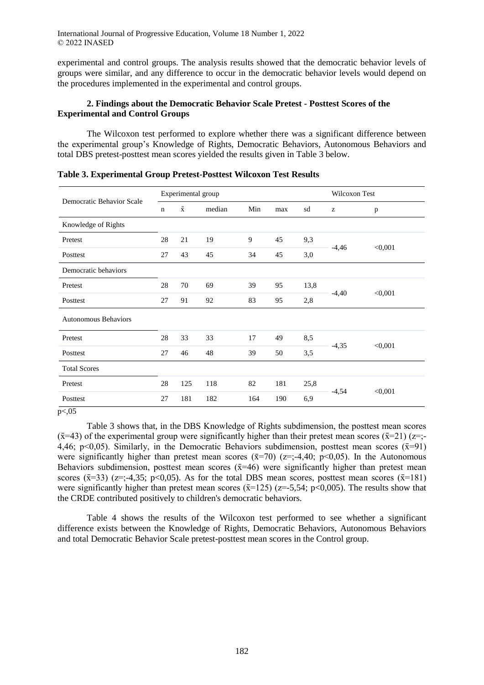experimental and control groups. The analysis results showed that the democratic behavior levels of groups were similar, and any difference to occur in the democratic behavior levels would depend on the procedures implemented in the experimental and control groups.

## **2. Findings about the Democratic Behavior Scale Pretest - Posttest Scores of the Experimental and Control Groups**

The Wilcoxon test performed to explore whether there was a significant difference between the experimental group's Knowledge of Rights, Democratic Behaviors, Autonomous Behaviors and total DBS pretest-posttest mean scores yielded the results given in Table 3 below.

| Democratic Behavior Scale   |             | Experimental group |        | Wilcoxon Test |     |      |         |         |
|-----------------------------|-------------|--------------------|--------|---------------|-----|------|---------|---------|
|                             | $\mathbf n$ | $\bar{x}$          | median | Min           | max | sd   | z       | p       |
| Knowledge of Rights         |             |                    |        |               |     |      |         |         |
| Pretest                     | 28          | 21                 | 19     | 9             | 45  | 9,3  |         |         |
| Posttest                    | 27          | 43                 | 45     | 34            | 45  | 3,0  | $-4,46$ | < 0,001 |
| Democratic behaviors        |             |                    |        |               |     |      |         |         |
| Pretest                     | 28          | 70                 | 69     | 39            | 95  | 13,8 |         |         |
| Posttest                    | 27          | 91                 | 92     | 83            | 95  | 2,8  | $-4,40$ | < 0,001 |
| <b>Autonomous Behaviors</b> |             |                    |        |               |     |      |         |         |
| Pretest                     | 28          | 33                 | 33     | 17            | 49  | 8,5  |         |         |
| Posttest                    | 27          | 46                 | 48     | 39            | 50  | 3,5  | $-4,35$ | < 0,001 |
| <b>Total Scores</b>         |             |                    |        |               |     |      |         |         |
| Pretest                     | 28          | 125                | 118    | 82            | 181 | 25,8 |         |         |
| Posttest                    | 27          | 181                | 182    | 164           | 190 | 6,9  | $-4,54$ | < 0,001 |

**Table 3. Experimental Group Pretest-Posttest Wilcoxon Test Results**

p<,05

Table 3 shows that, in the DBS Knowledge of Rights subdimension, the posttest mean scores  $(\bar{x}=43)$  of the experimental group were significantly higher than their pretest mean scores  $(\bar{x}=21)$  ( $z=$ ;-4,46; p<0,05). Similarly, in the Democratic Behaviors subdimension, posttest mean scores  $(\bar{x}=91)$ were significantly higher than pretest mean scores  $(\bar{x}=70)$  ( $z=$ ;-4,40; p<0,05). In the Autonomous Behaviors subdimension, posttest mean scores  $(\bar{x}=46)$  were significantly higher than pretest mean scores ( $\bar{x}$ =33) ( $z$ =;-4,35; p<0,05). As for the total DBS mean scores, posttest mean scores ( $\bar{x}$ =181) were significantly higher than pretest mean scores ( $\bar{x}$ =125) ( $z$ =-5,54; p<0,005). The results show that the CRDE contributed positively to children's democratic behaviors.

Table 4 shows the results of the Wilcoxon test performed to see whether a significant difference exists between the Knowledge of Rights, Democratic Behaviors, Autonomous Behaviors and total Democratic Behavior Scale pretest-posttest mean scores in the Control group.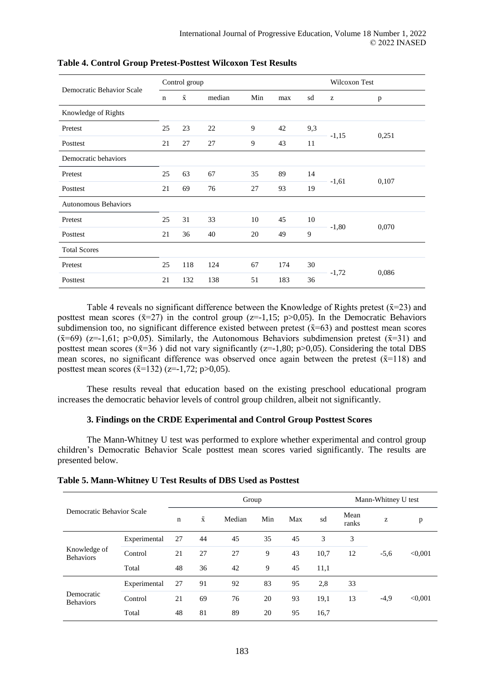|                             |             | Control group      |        | Wilcoxon Test |     |     |         |       |
|-----------------------------|-------------|--------------------|--------|---------------|-----|-----|---------|-------|
| Democratic Behavior Scale   | $\mathbf n$ | $\bar{\mathbf{x}}$ | median | Min           | max | sd  | z       | p     |
| Knowledge of Rights         |             |                    |        |               |     |     |         |       |
| Pretest                     | 25          | 23                 | 22     | 9             | 42  | 9,3 | $-1,15$ | 0,251 |
| Posttest                    | 21          | 27                 | 27     | 9             | 43  | 11  |         |       |
| Democratic behaviors        |             |                    |        |               |     |     |         |       |
| Pretest                     | 25          | 63                 | 67     | 35            | 89  | 14  |         | 0,107 |
| Posttest                    | 21          | 69                 | 76     | 27            | 93  | 19  | $-1,61$ |       |
| <b>Autonomous Behaviors</b> |             |                    |        |               |     |     |         |       |
| Pretest                     | 25          | 31                 | 33     | 10            | 45  | 10  |         |       |
| Posttest                    | 21          | 36                 | 40     | 20            | 49  | 9   | $-1,80$ | 0,070 |
| <b>Total Scores</b>         |             |                    |        |               |     |     |         |       |
| Pretest                     | 25          | 118                | 124    | 67            | 174 | 30  |         |       |
| Posttest                    | 21          | 132                | 138    | 51            | 183 | 36  | $-1,72$ | 0,086 |

#### **Table 4. Control Group Pretest-Posttest Wilcoxon Test Results**

Table 4 reveals no significant difference between the Knowledge of Rights pretest ( $\bar{x}$ =23) and posttest mean scores ( $\bar{x}$ =27) in the control group ( $z$ =-1,15; p>0,05). In the Democratic Behaviors subdimension too, no significant difference existed between pretest  $(\bar{x}=63)$  and posttest mean scores  $(\bar{x}=69)$  (z=-1,61; p>0,05). Similarly, the Autonomous Behaviors subdimension pretest ( $\bar{x}=31$ ) and posttest mean scores  $(\bar{x}=36)$  did not vary significantly ( $z=-1,80;$  p $>0,05$ ). Considering the total DBS mean scores, no significant difference was observed once again between the pretest  $(\bar{x}=118)$  and posttest mean scores  $(\bar{x}$ =132) (z=-1,72; p>0,05).

These results reveal that education based on the existing preschool educational program increases the democratic behavior levels of control group children, albeit not significantly.

#### **3. Findings on the CRDE Experimental and Control Group Posttest Scores**

The Mann-Whitney U test was performed to explore whether experimental and control group children's Democratic Behavior Scale posttest mean scores varied significantly. The results are presented below.

|                                  |              |    | Group     | Mann-Whitney U test |     |     |      |               |        |         |
|----------------------------------|--------------|----|-----------|---------------------|-----|-----|------|---------------|--------|---------|
| Democratic Behavior Scale        |              | n  | $\bar{x}$ | Median              | Min | Max | sd   | Mean<br>ranks | z      | p       |
| Knowledge of<br><b>Behaviors</b> | Experimental | 27 | 44        | 45                  | 35  | 45  | 3    | 3             | $-5,6$ | < 0.001 |
|                                  | Control      | 21 | 27        | 27                  | 9   | 43  | 10,7 | 12            |        |         |
|                                  | Total        | 48 | 36        | 42                  | 9   | 45  | 11,1 |               |        |         |
| Democratic<br><b>Behaviors</b>   | Experimental | 27 | 91        | 92                  | 83  | 95  | 2,8  | 33            | $-4,9$ | < 0.001 |
|                                  | Control      | 21 | 69        | 76                  | 20  | 93  | 19,1 | 13            |        |         |
|                                  | Total        | 48 | 81        | 89                  | 20  | 95  | 16,7 |               |        |         |

#### **Table 5. Mann-Whitney U Test Results of DBS Used as Posttest**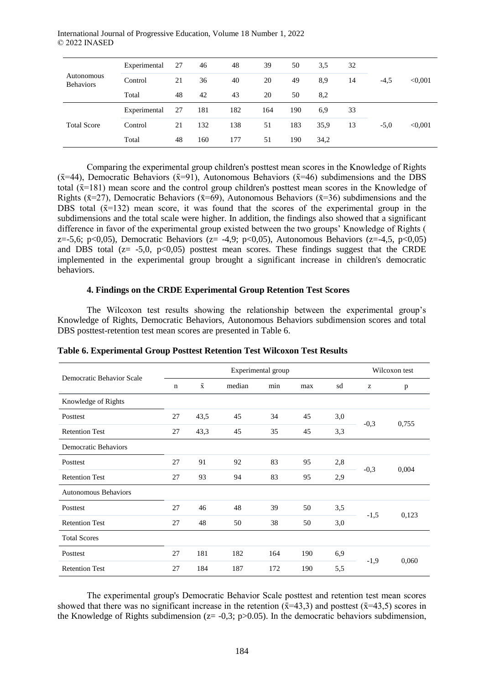|                                | Experimental | 27 | 46  | 48  | 39  | 50  | 3.5  | 32 |        |         |
|--------------------------------|--------------|----|-----|-----|-----|-----|------|----|--------|---------|
| Autonomous<br><b>Behaviors</b> | Control      | 21 | 36  | 40  | 20  | 49  | 8,9  | 14 | $-4,5$ | < 0.001 |
|                                | Total        | 48 | 42  | 43  | 20  | 50  | 8,2  |    |        |         |
| <b>Total Score</b>             | Experimental | 27 | 181 | 182 | 164 | 190 | 6,9  | 33 |        |         |
|                                | Control      | 21 | 132 | 138 | 51  | 183 | 35,9 | 13 | $-5,0$ | < 0.001 |
|                                | Total        | 48 | 160 | 177 | 51  | 190 | 34,2 |    |        |         |

Comparing the experimental group children's posttest mean scores in the Knowledge of Rights ( $\bar{x}$ =44), Democratic Behaviors ( $\bar{x}$ =91), Autonomous Behaviors ( $\bar{x}$ =46) subdimensions and the DBS total  $(\bar{x}$ =181) mean score and the control group children's posttest mean scores in the Knowledge of Rights ( $\bar{x}$ =27), Democratic Behaviors ( $\bar{x}$ =69), Autonomous Behaviors ( $\bar{x}$ =36) subdimensions and the DBS total  $(\bar{x}=132)$  mean score, it was found that the scores of the experimental group in the subdimensions and the total scale were higher. In addition, the findings also showed that a significant difference in favor of the experimental group existed between the two groups' Knowledge of Rights ( z=-5,6; p<0,05), Democratic Behaviors (z= -4,9; p<0,05), Autonomous Behaviors (z=-4,5, p<0,05) and DBS total ( $z = -5.0$ ,  $p < 0.05$ ) posttest mean scores. These findings suggest that the CRDE implemented in the experimental group brought a significant increase in children's democratic behaviors.

#### **4. Findings on the CRDE Experimental Group Retention Test Scores**

The Wilcoxon test results showing the relationship between the experimental group's Knowledge of Rights, Democratic Behaviors, Autonomous Behaviors subdimension scores and total DBS posttest-retention test mean scores are presented in Table 6.

| Democratic Behavior Scale   |             |           | Wilcoxon test |     |     |     |        |       |
|-----------------------------|-------------|-----------|---------------|-----|-----|-----|--------|-------|
|                             | $\mathbf n$ | $\bar{x}$ | median        | min | max | sd  | z      | p     |
| Knowledge of Rights         |             |           |               |     |     |     |        |       |
| Posttest                    | 27          | 43,5      | 45            | 34  | 45  | 3,0 |        |       |
| <b>Retention Test</b>       | 27          | 43,3      | 45            | 35  | 45  | 3,3 | $-0,3$ | 0,755 |
| <b>Democratic Behaviors</b> |             |           |               |     |     |     |        |       |
| Posttest                    | 27          | 91        | 92            | 83  | 95  | 2,8 |        | 0,004 |
| <b>Retention Test</b>       | 27          | 93        | 94            | 83  | 95  | 2,9 | $-0,3$ |       |
| <b>Autonomous Behaviors</b> |             |           |               |     |     |     |        |       |
| Posttest                    | 27          | 46        | 48            | 39  | 50  | 3,5 |        |       |
| <b>Retention Test</b>       | 27          | 48        | 50            | 38  | 50  | 3,0 | $-1,5$ | 0,123 |
| <b>Total Scores</b>         |             |           |               |     |     |     |        |       |
| Posttest                    | 27          | 181       | 182           | 164 | 190 | 6,9 |        |       |
| <b>Retention Test</b>       | 27          | 184       | 187           | 172 | 190 | 5,5 | $-1,9$ | 0,060 |

**Table 6. Experimental Group Posttest Retention Test Wilcoxon Test Results**

The experimental group's Democratic Behavior Scale posttest and retention test mean scores showed that there was no significant increase in the retention  $(\bar{x}=43.3)$  and posttest  $(\bar{x}=43.5)$  scores in the Knowledge of Rights subdimension ( $z = -0.3$ ; p $>0.05$ ). In the democratic behaviors subdimension,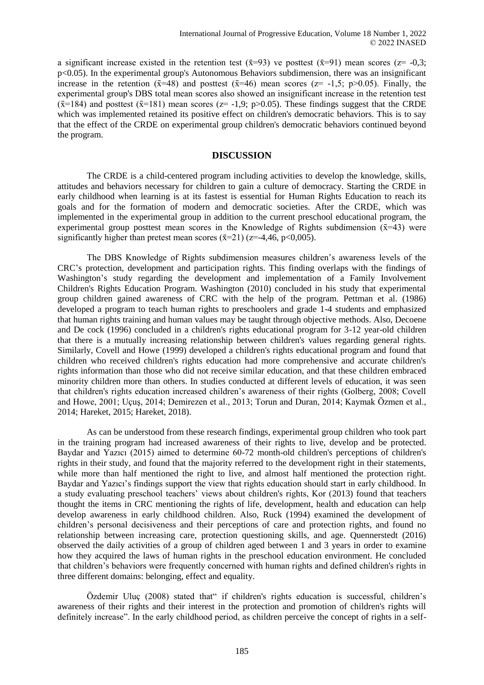a significant increase existed in the retention test  $(\bar{x}=93)$  ve posttest  $(\bar{x}=91)$  mean scores  $(z= -0,3;$ p<0.05). In the experimental group's Autonomous Behaviors subdimension, there was an insignificant increase in the retention ( $\bar{x}$ =48) and posttest ( $\bar{x}$ =46) mean scores ( $z$ = -1,5; p>0.05). Finally, the experimental group's DBS total mean scores also showed an insignificant increase in the retention test  $(\bar{x}=184)$  and posttest  $(\bar{x}=181)$  mean scores ( $z=-1.9$ ; p $>0.05$ ). These findings suggest that the CRDE which was implemented retained its positive effect on children's democratic behaviors. This is to say that the effect of the CRDE on experimental group children's democratic behaviors continued beyond the program.

### **DISCUSSION**

The CRDE is a child-centered program including activities to develop the knowledge, skills, attitudes and behaviors necessary for children to gain a culture of democracy. Starting the CRDE in early childhood when learning is at its fastest is essential for Human Rights Education to reach its goals and for the formation of modern and democratic societies. After the CRDE, which was implemented in the experimental group in addition to the current preschool educational program, the experimental group posttest mean scores in the Knowledge of Rights subdimension  $(\bar{x}=43)$  were significantly higher than pretest mean scores  $(\bar{x}=21)$  ( $z=-4.46$ ,  $p<0.005$ ).

The DBS Knowledge of Rights subdimension measures children's awareness levels of the CRC's protection, development and participation rights. This finding overlaps with the findings of Washington's study regarding the development and implementation of a Family Involvement Children's Rights Education Program. Washington (2010) concluded in his study that experimental group children gained awareness of CRC with the help of the program. Pettman et al. (1986) developed a program to teach human rights to preschoolers and grade 1-4 students and emphasized that human rights training and human values may be taught through objective methods. Also, Decoene and De cock (1996) concluded in a children's rights educational program for 3-12 year-old children that there is a mutually increasing relationship between children's values regarding general rights. Similarly, Covell and Howe (1999) developed a children's rights educational program and found that children who received children's rights education had more comprehensive and accurate children's rights information than those who did not receive similar education, and that these children embraced minority children more than others. In studies conducted at different levels of education, it was seen that children's rights education increased children's awareness of their rights (Golberg, 2008; Covell and Howe, 2001; Uçuş, 2014; Demirezen et al., 2013; Torun and Duran, 2014; Kaymak Özmen et al., 2014; Hareket, 2015; Hareket, 2018).

As can be understood from these research findings, experimental group children who took part in the training program had increased awareness of their rights to live, develop and be protected. Baydar and Yazıcı (2015) aimed to determine 60-72 month-old children's perceptions of children's rights in their study, and found that the majority referred to the development right in their statements, while more than half mentioned the right to live, and almost half mentioned the protection right. Baydar and Yazıcı's findings support the view that rights education should start in early childhood. In a study evaluating preschool teachers' views about children's rights, Kor (2013) found that teachers thought the items in CRC mentioning the rights of life, development, health and education can help develop awareness in early childhood children. Also, Ruck (1994) examined the development of children's personal decisiveness and their perceptions of care and protection rights, and found no relationship between increasing care, protection questioning skills, and age. Quennerstedt (2016) observed the daily activities of a group of children aged between 1 and 3 years in order to examine how they acquired the laws of human rights in the preschool education environment. He concluded that children's behaviors were frequently concerned with human rights and defined children's rights in three different domains: belonging, effect and equality.

Özdemir Uluç (2008) stated that" if children's rights education is successful, children's awareness of their rights and their interest in the protection and promotion of children's rights will definitely increase". In the early childhood period, as children perceive the concept of rights in a self-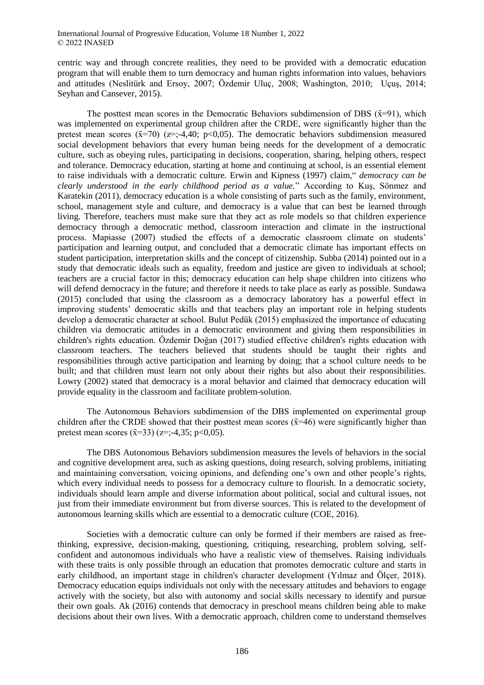centric way and through concrete realities, they need to be provided with a democratic education program that will enable them to turn democracy and human rights information into values, behaviors and attitudes (Neslitürk and Ersoy, 2007; Özdemir Uluç, 2008; Washington, 2010; Uçuş, 2014; Seyhan and Cansever, 2015).

The posttest mean scores in the Democratic Behaviors subdimension of DBS ( $\bar{x}$ =91), which was implemented on experimental group children after the CRDE, were significantly higher than the pretest mean scores  $(\bar{x}=70)$  ( $z=;-4.40; p<0.05$ ). The democratic behaviors subdimension measured social development behaviors that every human being needs for the development of a democratic culture, such as obeying rules, participating in decisions, cooperation, sharing, helping others, respect and tolerance. Democracy education, starting at home and continuing at school, is an essential element to raise individuals with a democratic culture. Erwin and Kipness (1997) claim," *democracy can be clearly understood in the early childhood period as a value.*" According to Kuş, Sönmez and Karatekin (2011), democracy education is a whole consisting of parts such as the family, environment, school, management style and culture, and democracy is a value that can best be learned through living. Therefore, teachers must make sure that they act as role models so that children experience democracy through a democratic method, classroom interaction and climate in the instructional process. Mapiasse (2007) studied the effects of a democratic classroom climate on students' participation and learning output, and concluded that a democratic climate has important effects on student participation, interpretation skills and the concept of citizenship. Subba (2014) pointed out in a study that democratic ideals such as equality, freedom and justice are given to individuals at school; teachers are a crucial factor in this; democracy education can help shape children into citizens who will defend democracy in the future; and therefore it needs to take place as early as possible. Sundawa (2015) concluded that using the classroom as a democracy laboratory has a powerful effect in improving students' democratic skills and that teachers play an important role in helping students develop a democratic character at school. Bulut Pedük (2015) emphasized the importance of educating children via democratic attitudes in a democratic environment and giving them responsibilities in children's rights education. Özdemir Doğan (2017) studied effective children's rights education with classroom teachers. The teachers believed that students should be taught their rights and responsibilities through active participation and learning by doing; that a school culture needs to be built; and that children must learn not only about their rights but also about their responsibilities. Lowry (2002) stated that democracy is a moral behavior and claimed that democracy education will provide equality in the classroom and facilitate problem-solution.

The Autonomous Behaviors subdimension of the DBS implemented on experimental group children after the CRDE showed that their posttest mean scores  $(\bar{x}=46)$  were significantly higher than pretest mean scores  $(\bar{x}=33)$  (z=:-4.35; p<0.05).

The DBS Autonomous Behaviors subdimension measures the levels of behaviors in the social and cognitive development area, such as asking questions, doing research, solving problems, initiating and maintaining conversation, voicing opinions, and defending one's own and other people's rights, which every individual needs to possess for a democracy culture to flourish. In a democratic society, individuals should learn ample and diverse information about political, social and cultural issues, not just from their immediate environment but from diverse sources. This is related to the development of autonomous learning skills which are essential to a democratic culture (COE, 2016).

Societies with a democratic culture can only be formed if their members are raised as freethinking, expressive, decision-making, questioning, critiquing, researching, problem solving, selfconfident and autonomous individuals who have a realistic view of themselves. Raising individuals with these traits is only possible through an education that promotes democratic culture and starts in early childhood, an important stage in children's character development (Yılmaz and Ölçer, 2018). Democracy education equips individuals not only with the necessary attitudes and behaviors to engage actively with the society, but also with autonomy and social skills necessary to identify and pursue their own goals. Ak (2016) contends that democracy in preschool means children being able to make decisions about their own lives. With a democratic approach, children come to understand themselves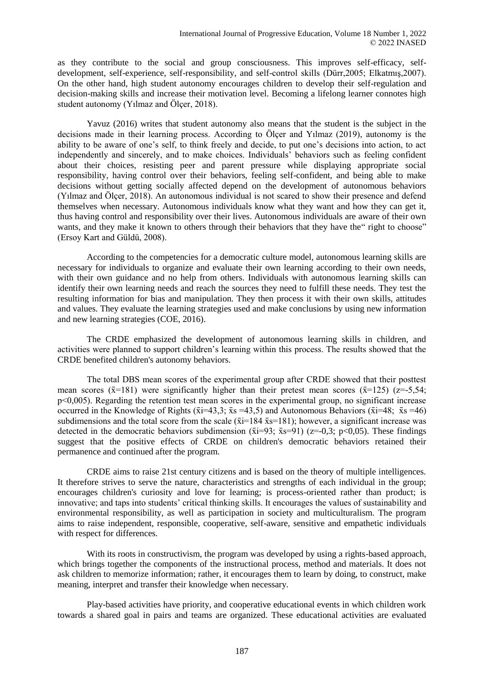as they contribute to the social and group consciousness. This improves self-efficacy, selfdevelopment, self-experience, self-responsibility, and self-control skills (Dürr,2005; Elkatmış,2007). On the other hand, high student autonomy encourages children to develop their self-regulation and decision-making skills and increase their motivation level. Becoming a lifelong learner connotes high student autonomy (Yılmaz and Ölçer, 2018).

Yavuz (2016) writes that student autonomy also means that the student is the subject in the decisions made in their learning process. According to Ölçer and Yılmaz (2019), autonomy is the ability to be aware of one's self, to think freely and decide, to put one's decisions into action, to act independently and sincerely, and to make choices. Individuals' behaviors such as feeling confident about their choices, resisting peer and parent pressure while displaying appropriate social responsibility, having control over their behaviors, feeling self-confident, and being able to make decisions without getting socially affected depend on the development of autonomous behaviors (Yılmaz and Ölçer, 2018). An autonomous individual is not scared to show their presence and defend themselves when necessary. Autonomous individuals know what they want and how they can get it, thus having control and responsibility over their lives. Autonomous individuals are aware of their own wants, and they make it known to others through their behaviors that they have the "right to choose" (Ersoy Kart and Güldü, 2008).

According to the competencies for a democratic culture model, autonomous learning skills are necessary for individuals to organize and evaluate their own learning according to their own needs, with their own guidance and no help from others. Individuals with autonomous learning skills can identify their own learning needs and reach the sources they need to fulfill these needs. They test the resulting information for bias and manipulation. They then process it with their own skills, attitudes and values. They evaluate the learning strategies used and make conclusions by using new information and new learning strategies (COE, 2016).

The CRDE emphasized the development of autonomous learning skills in children, and activities were planned to support children's learning within this process. The results showed that the CRDE benefited children's autonomy behaviors.

The total DBS mean scores of the experimental group after CRDE showed that their posttest mean scores ( $\bar{x}$ =181) were significantly higher than their pretest mean scores ( $\bar{x}$ =125) ( $\bar{z}$ =-5,54; p<0,005). Regarding the retention test mean scores in the experimental group, no significant increase occurred in the Knowledge of Rights ( $\bar{x}$  i=43,3;  $\bar{x}$  s =43,5) and Autonomous Behaviors ( $\bar{x}$  i=48;  $\bar{x}$  s =46) subdimensions and the total score from the scale ( $\bar{x}$  i=184  $\bar{x}$  s=181); however, a significant increase was detected in the democratic behaviors subdimension ( $\bar{x}$ i=93;  $\bar{x}$ s=91) (z=-0,3; p<0,05). These findings suggest that the positive effects of CRDE on children's democratic behaviors retained their permanence and continued after the program.

CRDE aims to raise 21st century citizens and is based on the theory of multiple intelligences. It therefore strives to serve the nature, characteristics and strengths of each individual in the group; encourages children's curiosity and love for learning; is process-oriented rather than product; is innovative; and taps into students' critical thinking skills. It encourages the values of sustainability and environmental responsibility, as well as participation in society and multiculturalism. The program aims to raise independent, responsible, cooperative, self-aware, sensitive and empathetic individuals with respect for differences.

With its roots in constructivism, the program was developed by using a rights-based approach, which brings together the components of the instructional process, method and materials. It does not ask children to memorize information; rather, it encourages them to learn by doing, to construct, make meaning, interpret and transfer their knowledge when necessary.

Play-based activities have priority, and cooperative educational events in which children work towards a shared goal in pairs and teams are organized. These educational activities are evaluated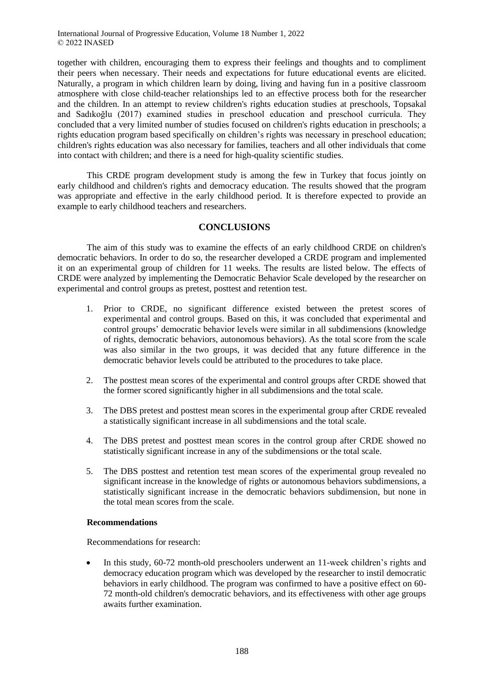together with children, encouraging them to express their feelings and thoughts and to compliment their peers when necessary. Their needs and expectations for future educational events are elicited. Naturally, a program in which children learn by doing, living and having fun in a positive classroom atmosphere with close child-teacher relationships led to an effective process both for the researcher and the children. In an attempt to review children's rights education studies at preschools, Topsakal and Sadıkoğlu (2017) examined studies in preschool education and preschool curricula. They concluded that a very limited number of studies focused on children's rights education in preschools; a rights education program based specifically on children's rights was necessary in preschool education; children's rights education was also necessary for families, teachers and all other individuals that come into contact with children; and there is a need for high-quality scientific studies.

This CRDE program development study is among the few in Turkey that focus jointly on early childhood and children's rights and democracy education. The results showed that the program was appropriate and effective in the early childhood period. It is therefore expected to provide an example to early childhood teachers and researchers.

## **CONCLUSIONS**

The aim of this study was to examine the effects of an early childhood CRDE on children's democratic behaviors. In order to do so, the researcher developed a CRDE program and implemented it on an experimental group of children for 11 weeks. The results are listed below. The effects of CRDE were analyzed by implementing the Democratic Behavior Scale developed by the researcher on experimental and control groups as pretest, posttest and retention test.

- 1. Prior to CRDE, no significant difference existed between the pretest scores of experimental and control groups. Based on this, it was concluded that experimental and control groups' democratic behavior levels were similar in all subdimensions (knowledge of rights, democratic behaviors, autonomous behaviors). As the total score from the scale was also similar in the two groups, it was decided that any future difference in the democratic behavior levels could be attributed to the procedures to take place.
- 2. The posttest mean scores of the experimental and control groups after CRDE showed that the former scored significantly higher in all subdimensions and the total scale.
- 3. The DBS pretest and posttest mean scores in the experimental group after CRDE revealed a statistically significant increase in all subdimensions and the total scale.
- 4. The DBS pretest and posttest mean scores in the control group after CRDE showed no statistically significant increase in any of the subdimensions or the total scale.
- 5. The DBS posttest and retention test mean scores of the experimental group revealed no significant increase in the knowledge of rights or autonomous behaviors subdimensions, a statistically significant increase in the democratic behaviors subdimension, but none in the total mean scores from the scale.

### **Recommendations**

Recommendations for research:

• In this study, 60-72 month-old preschoolers underwent an 11-week children's rights and democracy education program which was developed by the researcher to instil democratic behaviors in early childhood. The program was confirmed to have a positive effect on 60- 72 month-old children's democratic behaviors, and its effectiveness with other age groups awaits further examination.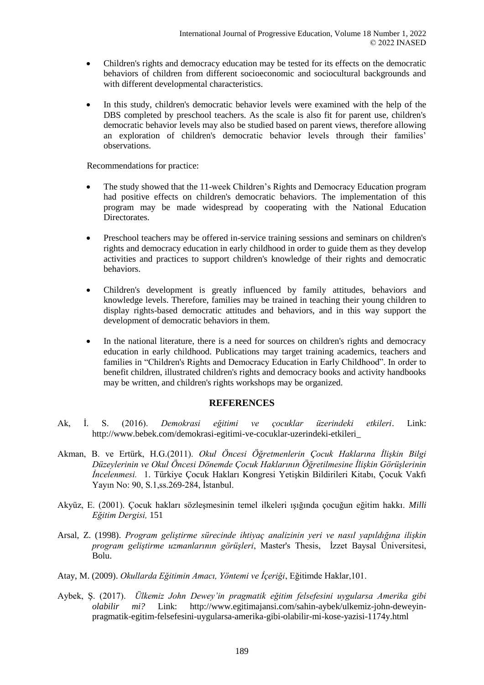- Children's rights and democracy education may be tested for its effects on the democratic behaviors of children from different socioeconomic and sociocultural backgrounds and with different developmental characteristics.
- In this study, children's democratic behavior levels were examined with the help of the DBS completed by preschool teachers. As the scale is also fit for parent use, children's democratic behavior levels may also be studied based on parent views, therefore allowing an exploration of children's democratic behavior levels through their families' observations.

Recommendations for practice:

- The study showed that the 11-week Children's Rights and Democracy Education program had positive effects on children's democratic behaviors. The implementation of this program may be made widespread by cooperating with the National Education Directorates.
- Preschool teachers may be offered in-service training sessions and seminars on children's rights and democracy education in early childhood in order to guide them as they develop activities and practices to support children's knowledge of their rights and democratic behaviors.
- Children's development is greatly influenced by family attitudes, behaviors and knowledge levels. Therefore, families may be trained in teaching their young children to display rights-based democratic attitudes and behaviors, and in this way support the development of democratic behaviors in them.
- In the national literature, there is a need for sources on children's rights and democracy education in early childhood. Publications may target training academics, teachers and families in "Children's Rights and Democracy Education in Early Childhood". In order to benefit children, illustrated children's rights and democracy books and activity handbooks may be written, and children's rights workshops may be organized.

# **REFERENCES**

- Ak, İ. S. (2016). *Demokrasi eğitimi ve çocuklar üzerindeki etkileri*. Link: http://www.bebek.com/demokrasi-egitimi-ve-cocuklar-uzerindeki-etkileri\_
- Akman, B. ve Ertürk, H.G.(2011). *Okul Öncesi Öğretmenlerin Çocuk Haklarına İlişkin Bilgi Düzeylerinin ve Okul Öncesi Dönemde Çocuk Haklarının Öğretilmesine İlişkin Görüşlerinin İncelenmesi.* 1. Türkiye Çocuk Hakları Kongresi Yetişkin Bildirileri Kitabı, Çocuk Vakfı Yayın No: 90, S.1,ss.269-284, İstanbul.
- Akyüz, E. (2001). Çocuk hakları sözleşmesinin temel ilkeleri ışığında çocuğun eğitim hakkı. *Milli Eğitim Dergisi,* 151
- Arsal, Z. (1998). *Program geliştirme sürecinde ihtiyaç analizinin yeri ve nasıl yapıldığına ilişkin program geliştirme uzmanlarının görüşleri*, Master's Thesis, İzzet Baysal Üniversitesi, Bolu.
- Atay, M. (2009). *Okullarda Eğitimin Amacı, Yöntemi ve İçeriği*, Eğitimde Haklar,101.
- Aybek, Ş. (2017). *Ülkemiz John Dewey'in pragmatik eğitim felsefesini uygularsa Amerika gibi olabilir mi?* Link: http://www.egitimajansi.com/sahin-aybek/ulkemiz-john-deweyinpragmatik-egitim-felsefesini-uygularsa-amerika-gibi-olabilir-mi-kose-yazisi-1174y.html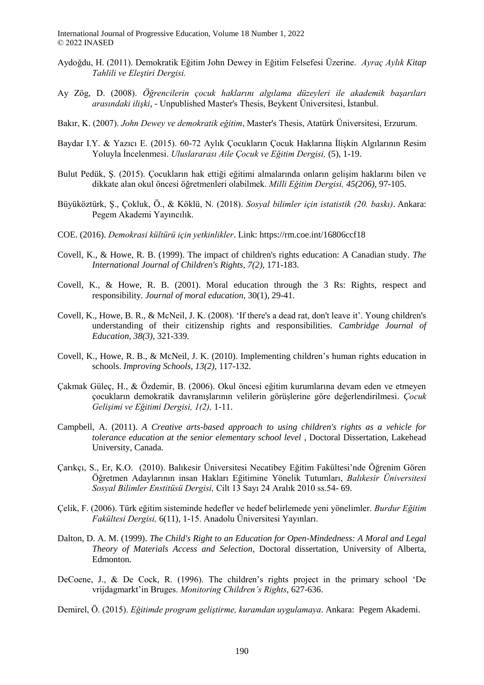- Aydoğdu, H. (2011). Demokratik Eğitim John Dewey in Eğitim Felsefesi Üzerine. *Ayraç Aylık Kitap Tahlili ve Eleştiri Dergisi.*
- Ay Zög, D. (2008). *Öğrencilerin çocuk haklarını algılama düzeyleri ile akademik başarıları arasındaki ilişki*, - Unpublished Master's Thesis, Beykent Üniversitesi, İstanbul.
- Bakır, K. (2007). *John Dewey ve demokratik eğitim*, Master's Thesis, Atatürk Üniversitesi, Erzurum.
- Baydar I.Y. & Yazıcı E. (2015). 60-72 Aylık Çocukların Çocuk Haklarına İlişkin Algılarının Resim Yoluyla İncelenmesi. *Uluslararası Aile Çocuk ve Eğitim Dergisi,* (5), 1-19.
- Bulut Pedük, Ş. (2015). Çocukların hak ettiği eğitimi almalarında onların gelişim haklarını bilen ve dikkate alan okul öncesi öğretmenleri olabilmek. *Milli Eğitim Dergisi, 45(206),* 97-105.
- Büyüköztürk, Ş., Çokluk, Ö., & Köklü, N. (2018). *Sosyal bilimler için istatistik (20. baskı)*. Ankara: Pegem Akademi Yayıncılık.
- COE. (2016). *Demokrasi kültürü için yetkinlikler*. Link: https://rm.coe.int/16806ccf18
- Covell, K., & Howe, R. B. (1999). The impact of children's rights education: A Canadian study. *The International Journal of Children's Rights, 7(2),* 171-183.
- Covell, K., & Howe, R. B. (2001). Moral education through the 3 Rs: Rights, respect and responsibility. *Journal of moral education,* 30(1), 29-41.
- Covell, K., Howe, B. R., & McNeil, J. K. (2008). 'If there's a dead rat, don't leave it'. Young children's understanding of their citizenship rights and responsibilities. *Cambridge Journal of Education, 38(3)*, 321-339.
- Covell, K., Howe, R. B., & McNeil, J. K. (2010). Implementing children's human rights education in schools. *Improving Schools, 13(2),* 117-132.
- Çakmak Güleç, H., & Özdemir, B. (2006). Okul öncesi eğitim kurumlarına devam eden ve etmeyen çocukların demokratik davranışlarının velilerin görüşlerine göre değerlendirilmesi. *Çocuk Gelişimi ve Eğitimi Dergisi, 1(2),* 1-11.
- Campbell, A. (2011). *A Creative arts-based approach to using children's rights as a vehicle for tolerance education at the senior elementary school level* , Doctoral Dissertation, Lakehead University, Canada.
- Çarıkçı, S., Er, K.O. (2010). Balıkesir Üniversitesi Necatibey Eğitim Fakültesi'nde Öğrenim Gören Öğretmen Adaylarının insan Hakları Eğitimine Yönelik Tutumları, *Balıkesir Üniversitesi Sosyal Bilimler Enstitüsü Dergisi,* Cilt 13 Sayı 24 Aralık 2010 ss.54- 69.
- Çelik, F. (2006). Türk eğitim sisteminde hedefler ve hedef belirlemede yeni yönelimler. *Burdur Eğitim Fakültesi Dergisi,* 6(11), 1-15. Anadolu Üniversitesi Yayınları.
- Dalton, D. A. M. (1999). *The Child's Right to an Education for Open-Mindedness: A Moral and Legal Theory of Materials Access and Selection*, Doctoral dissertation, University of Alberta, Edmonton.
- DeCoene, J., & De Cock, R. (1996). The children's rights project in the primary school 'De vrijdagmarkt'in Bruges. *Monitoring Children's Rights*, 627-636.
- Demirel, Ö. (2015). *Eğitimde program geliştirme, kuramdan uygulamaya*. Ankara: Pegem Akademi.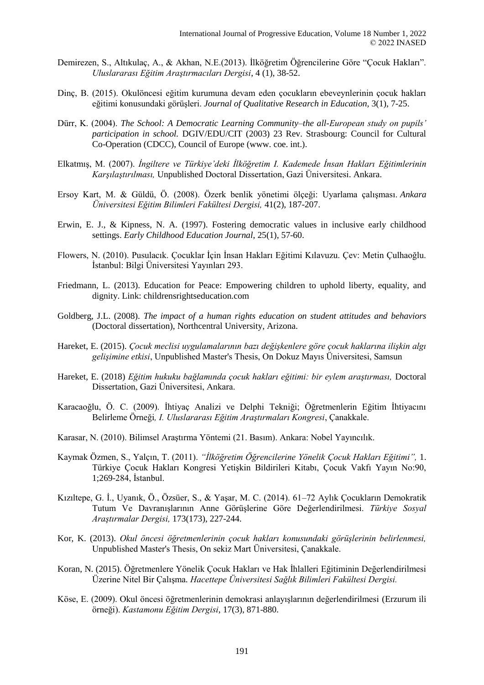- Demirezen, S., Altıkulaç, A., & Akhan, N.E.(2013). İlköğretim Öğrencilerine Göre "Çocuk Hakları". *Uluslararası Eğitim Araştırmacıları Dergisi*, 4 (1), 38-52.
- Dinç, B. (2015). Okulöncesi eğitim kurumuna devam eden çocukların ebeveynlerinin çocuk hakları eğitimi konusundaki görüşleri. *Journal of Qualitative Research in Education,* 3(1), 7-25.
- Dürr, K. (2004). *The School: A Democratic Learning Community–the all-European study on pupils' participation in school.* DGIV/EDU/CIT (2003) 23 Rev. Strasbourg: Council for Cultural Co-Operation (CDCC), Council of Europe (www. coe. int.).
- Elkatmış, M. (2007). *İngiltere ve Türkiye'deki İlköğretim I. Kademede İnsan Hakları Eğitimlerinin Karşılaştırılması,* Unpublished Doctoral Dissertation, Gazi Üniversitesi. Ankara.
- Ersoy Kart, M. & Güldü, Ö. (2008). Özerk benlik yönetimi ölçeği: Uyarlama çalışması. *Ankara Üniversitesi Eğitim Bilimleri Fakültesi Dergisi,* 41(2), 187-207.
- Erwin, E. J., & Kipness, N. A. (1997). Fostering democratic values in inclusive early childhood settings. *Early Childhood Education Journal*, 25(1), 57-60.
- Flowers, N. (2010). Pusulacık. Çocuklar İçin İnsan Hakları Eğitimi Kılavuzu. Çev: Metin Çulhaoğlu. İstanbul: Bilgi Üniversitesi Yayınları 293.
- Friedmann, L. (2013). Education for Peace: Empowering children to uphold liberty, equality, and dignity. Link: childrensrightseducation.com
- Goldberg, J.L. (2008). *The impact of a human rights education on student attitudes and behaviors*  (Doctoral dissertation), Northcentral University, Arizona.
- Hareket, E. (2015). *Çocuk meclisi uygulamalarının bazı değişkenlere göre çocuk haklarına ilişkin algı gelişimine etkisi*, Unpublished Master's Thesis, On Dokuz Mayıs Üniversitesi, Samsun
- Hareket, E. (2018) *Eğitim hukuku bağlamında çocuk hakları eğitimi: bir eylem araştırması,* Doctoral Dissertation, Gazi Üniversitesi, Ankara.
- Karacaoğlu, Ö. C. (2009). İhtiyaç Analizi ve Delphi Tekniği; Öğretmenlerin Eğitim İhtiyacını Belirleme Örneği*, I. Uluslararası Eğitim Araştırmaları Kongresi*, Çanakkale.
- Karasar, N. (2010). Bilimsel Araştırma Yöntemi (21. Basım). Ankara: Nobel Yayıncılık.
- Kaymak Özmen, S., Yalçın, T. (2011). *"İlköğretim Öğrencilerine Yönelik Çocuk Hakları Eğitimi",* 1. Türkiye Çocuk Hakları Kongresi Yetişkin Bildirileri Kitabı, Çocuk Vakfı Yayın No:90, 1;269-284, İstanbul.
- Kızıltepe, G. İ., Uyanık, Ö., Özsüer, S., & Yaşar, M. C. (2014). 61–72 Aylık Çocukların Demokratik Tutum Ve Davranışlarının Anne Görüşlerine Göre Değerlendirilmesi. *Türkiye Sosyal Araştırmalar Dergisi,* 173(173), 227-244.
- Kor, K. (2013). *Okul öncesi öğretmenlerinin çocuk hakları konusundaki görüşlerinin belirlenmesi,*  Unpublished Master's Thesis, On sekiz Mart Üniversitesi, Çanakkale.
- Koran, N. (2015). Öğretmenlere Yönelik Çocuk Hakları ve Hak İhlalleri Eğitiminin Değerlendirilmesi Üzerine Nitel Bir Çalışma*. Hacettepe Üniversitesi Sağlık Bilimleri Fakültesi Dergisi.*
- Köse, E. (2009). Okul öncesi öğretmenlerinin demokrasi anlayışlarının değerlendirilmesi (Erzurum ili örneği). *Kastamonu Eğitim Dergisi*, 17(3), 871-880.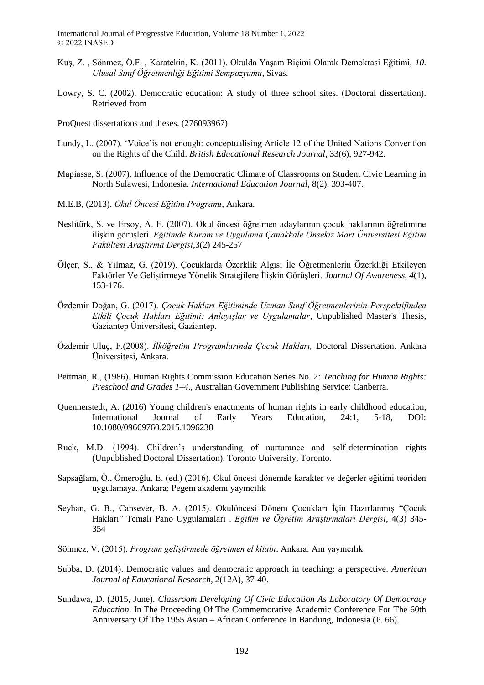- Kuş, Z. , Sönmez, Ö.F. , Karatekin, K. (2011). Okulda Yaşam Biçimi Olarak Demokrasi Eğitimi, *10. Ulusal Sınıf Öğretmenliği Eğitimi Sempozyumu*, Sivas.
- Lowry, S. C. (2002). Democratic education: A study of three school sites. (Doctoral dissertation). Retrieved from
- ProQuest dissertations and theses. (276093967)
- Lundy, L. (2007). 'Voice'is not enough: conceptualising Article 12 of the United Nations Convention on the Rights of the Child. *British Educational Research Journal*, 33(6), 927-942.
- Mapiasse, S. (2007). Influence of the Democratic Climate of Classrooms on Student Civic Learning in North Sulawesi, Indonesia. *International Education Journal,* 8(2), 393-407.
- M.E.B, (2013). *Okul Öncesi Eğitim Programı*, Ankara.
- Neslitürk, S. ve Ersoy, A. F. (2007). Okul öncesi öğretmen adaylarının çocuk haklarının öğretimine ilişkin görüşleri. *Eğitimde Kuram ve Uygulama Çanakkale Onsekiz Mart Üniversitesi Eğitim Fakültesi Araştırma Dergisi*,3(2) 245-257
- Ölçer, S., & Yılmaz, G. (2019). Çocuklarda Özerklik Algısı İle Öğretmenlerin Özerkliği Etkileyen Faktörler Ve Geliştirmeye Yönelik Stratejilere İlişkin Görüşleri. *Journal Of Awareness*, *4*(1), 153-176.
- Özdemir Doğan, G. (2017). *Çocuk Hakları Eğitiminde Uzman Sınıf Öğretmenlerinin Perspektifinden Etkili Çocuk Hakları Eğitimi: Anlayışlar ve Uygulamalar*, Unpublished Master's Thesis, Gaziantep Üniversitesi, Gaziantep.
- Özdemir Uluç, F.(2008). *İlköğretim Programlarında Çocuk Hakları,* Doctoral Dissertation. Ankara Üniversitesi, Ankara.
- Pettman, R., (1986). Human Rights Commission Education Series No. 2: *Teaching for Human Rights: Preschool and Grades 1–4*., Australian Government Publishing Service: Canberra.
- Quennerstedt, A. (2016) Young children's enactments of human rights in early childhood education, International Journal of Early Years Education, 24:1, 5-18, DOI: 10.1080/09669760.2015.1096238
- Ruck, M.D. (1994). Children's understanding of nurturance and self-determination rights (Unpublished Doctoral Dissertation). Toronto University, Toronto.
- Sapsağlam, Ö., Ömeroğlu, E. (ed.) (2016). Okul öncesi dönemde karakter ve değerler eğitimi teoriden uygulamaya. Ankara: Pegem akademi yayıncılık
- Seyhan, G. B., Cansever, B. A. (2015). Okulöncesi Dönem Çocukları İçin Hazırlanmış "Çocuk Hakları" Temalı Pano Uygulamaları . *Eğitim ve Öğretim Araştırmaları Dergisi*, 4(3) 345- 354
- Sönmez, V. (2015). *Program geliştirmede öğretmen el kitabı*. Ankara: Anı yayıncılık.
- Subba, D. (2014). Democratic values and democratic approach in teaching: a perspective. *American Journal of Educational Research*, 2(12A), 37-40.
- Sundawa, D. (2015, June). *Classroom Developing Of Civic Education As Laboratory Of Democracy Education*. In The Proceeding Of The Commemorative Academic Conference For The 60th Anniversary Of The 1955 Asian – African Conference In Bandung, Indonesia (P. 66).